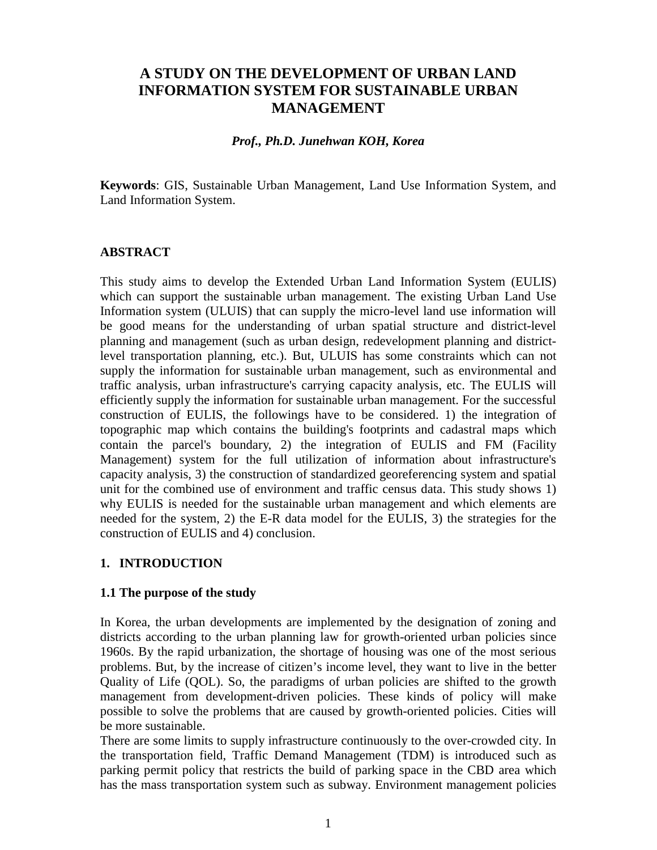# **A STUDY ON THE DEVELOPMENT OF URBAN LAND INFORMATION SYSTEM FOR SUSTAINABLE URBAN MANAGEMENT**

#### *Prof., Ph.D. Junehwan KOH, Korea*

**Keywords**: GIS, Sustainable Urban Management, Land Use Information System, and Land Information System.

#### **ABSTRACT**

This study aims to develop the Extended Urban Land Information System (EULIS) which can support the sustainable urban management. The existing Urban Land Use Information system (ULUIS) that can supply the micro-level land use information will be good means for the understanding of urban spatial structure and district-level planning and management (such as urban design, redevelopment planning and districtlevel transportation planning, etc.). But, ULUIS has some constraints which can not supply the information for sustainable urban management, such as environmental and traffic analysis, urban infrastructure's carrying capacity analysis, etc. The EULIS will efficiently supply the information for sustainable urban management. For the successful construction of EULIS, the followings have to be considered. 1) the integration of topographic map which contains the building's footprints and cadastral maps which contain the parcel's boundary, 2) the integration of EULIS and FM (Facility Management) system for the full utilization of information about infrastructure's capacity analysis, 3) the construction of standardized georeferencing system and spatial unit for the combined use of environment and traffic census data. This study shows 1) why EULIS is needed for the sustainable urban management and which elements are needed for the system, 2) the E-R data model for the EULIS, 3) the strategies for the construction of EULIS and 4) conclusion.

#### **1. INTRODUCTION**

#### **1.1 The purpose of the study**

In Korea, the urban developments are implemented by the designation of zoning and districts according to the urban planning law for growth-oriented urban policies since 1960s. By the rapid urbanization, the shortage of housing was one of the most serious problems. But, by the increase of citizen's income level, they want to live in the better Quality of Life (QOL). So, the paradigms of urban policies are shifted to the growth management from development-driven policies. These kinds of policy will make possible to solve the problems that are caused by growth-oriented policies. Cities will be more sustainable.

There are some limits to supply infrastructure continuously to the over-crowded city. In the transportation field, Traffic Demand Management (TDM) is introduced such as parking permit policy that restricts the build of parking space in the CBD area which has the mass transportation system such as subway. Environment management policies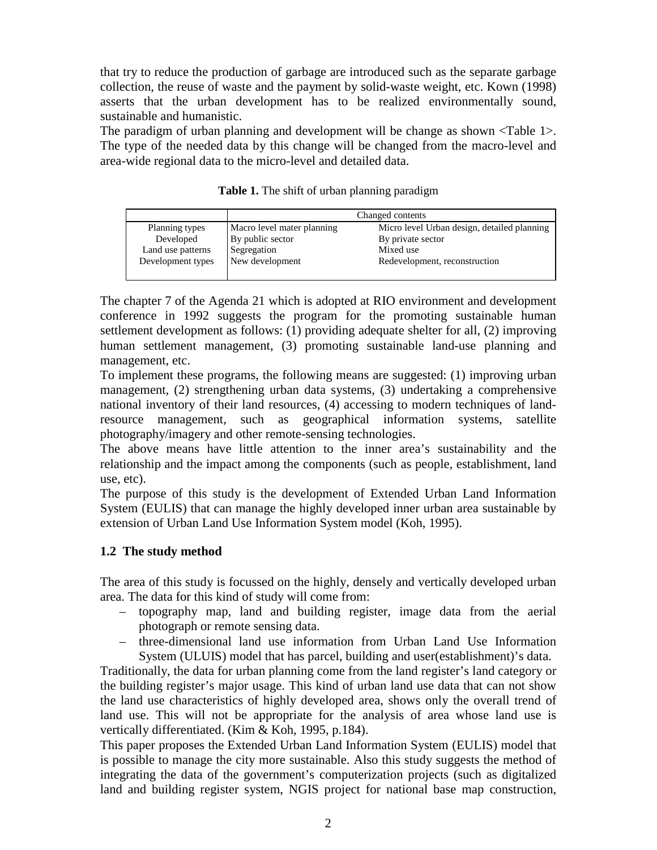that try to reduce the production of garbage are introduced such as the separate garbage collection, the reuse of waste and the payment by solid-waste weight, etc. Kown (1998) asserts that the urban development has to be realized environmentally sound, sustainable and humanistic.

The paradigm of urban planning and development will be change as shown <Table 1>. The type of the needed data by this change will be changed from the macro-level and area-wide regional data to the micro-level and detailed data.

|                   | Changed contents           |                                             |
|-------------------|----------------------------|---------------------------------------------|
| Planning types    | Macro level mater planning | Micro level Urban design, detailed planning |
| Developed         | By public sector           | By private sector                           |
| Land use patterns | Segregation                | Mixed use                                   |
| Development types | New development            | Redevelopment, reconstruction               |
|                   |                            |                                             |

**Table 1.** The shift of urban planning paradigm

The chapter 7 of the Agenda 21 which is adopted at RIO environment and development conference in 1992 suggests the program for the promoting sustainable human settlement development as follows: (1) providing adequate shelter for all, (2) improving human settlement management, (3) promoting sustainable land-use planning and management, etc.

To implement these programs, the following means are suggested: (1) improving urban management, (2) strengthening urban data systems, (3) undertaking a comprehensive national inventory of their land resources, (4) accessing to modern techniques of landresource management, such as geographical information systems, satellite photography/imagery and other remote-sensing technologies.

The above means have little attention to the inner area's sustainability and the relationship and the impact among the components (such as people, establishment, land use, etc).

The purpose of this study is the development of Extended Urban Land Information System (EULIS) that can manage the highly developed inner urban area sustainable by extension of Urban Land Use Information System model (Koh, 1995).

## **1.2 The study method**

The area of this study is focussed on the highly, densely and vertically developed urban area. The data for this kind of study will come from:

- topography map, land and building register, image data from the aerial photograph or remote sensing data.
- three-dimensional land use information from Urban Land Use Information System (ULUIS) model that has parcel, building and user(establishment)'s data.

Traditionally, the data for urban planning come from the land register's land category or the building register's major usage. This kind of urban land use data that can not show the land use characteristics of highly developed area, shows only the overall trend of land use. This will not be appropriate for the analysis of area whose land use is vertically differentiated. (Kim & Koh, 1995, p.184).

This paper proposes the Extended Urban Land Information System (EULIS) model that is possible to manage the city more sustainable. Also this study suggests the method of integrating the data of the government's computerization projects (such as digitalized land and building register system, NGIS project for national base map construction,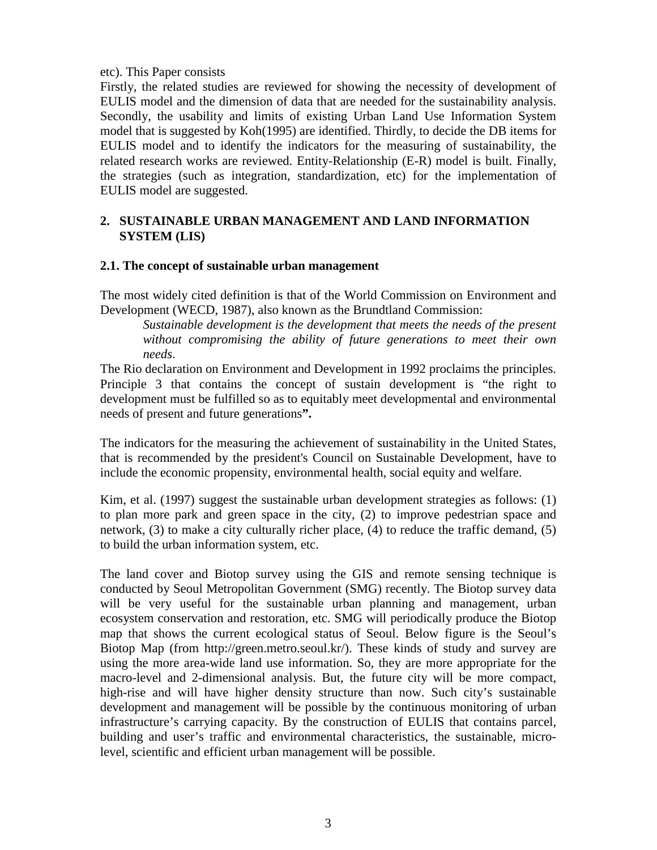#### etc). This Paper consists

Firstly, the related studies are reviewed for showing the necessity of development of EULIS model and the dimension of data that are needed for the sustainability analysis. Secondly, the usability and limits of existing Urban Land Use Information System model that is suggested by Koh(1995) are identified. Thirdly, to decide the DB items for EULIS model and to identify the indicators for the measuring of sustainability, the related research works are reviewed. Entity-Relationship (E-R) model is built. Finally, the strategies (such as integration, standardization, etc) for the implementation of EULIS model are suggested.

## **2. SUSTAINABLE URBAN MANAGEMENT AND LAND INFORMATION SYSTEM (LIS)**

## **2.1. The concept of sustainable urban management**

The most widely cited definition is that of the World Commission on Environment and Development (WECD, 1987), also known as the Brundtland Commission:

*Sustainable development is the development that meets the needs of the present without compromising the ability of future generations to meet their own needs.*

The Rio declaration on Environment and Development in 1992 proclaims the principles. Principle 3 that contains the concept of sustain development is "the right to development must be fulfilled so as to equitably meet developmental and environmental needs of present and future generations**".**

The indicators for the measuring the achievement of sustainability in the United States, that is recommended by the president's Council on Sustainable Development, have to include the economic propensity, environmental health, social equity and welfare.

Kim, et al. (1997) suggest the sustainable urban development strategies as follows: (1) to plan more park and green space in the city, (2) to improve pedestrian space and network, (3) to make a city culturally richer place, (4) to reduce the traffic demand, (5) to build the urban information system, etc.

The land cover and Biotop survey using the GIS and remote sensing technique is conducted by Seoul Metropolitan Government (SMG) recently. The Biotop survey data will be very useful for the sustainable urban planning and management, urban ecosystem conservation and restoration, etc. SMG will periodically produce the Biotop map that shows the current ecological status of Seoul. Below figure is the Seoul's Biotop Map (from http://green.metro.seoul.kr/). These kinds of study and survey are using the more area-wide land use information. So, they are more appropriate for the macro-level and 2-dimensional analysis. But, the future city will be more compact, high-rise and will have higher density structure than now. Such city's sustainable development and management will be possible by the continuous monitoring of urban infrastructure's carrying capacity. By the construction of EULIS that contains parcel, building and user's traffic and environmental characteristics, the sustainable, microlevel, scientific and efficient urban management will be possible.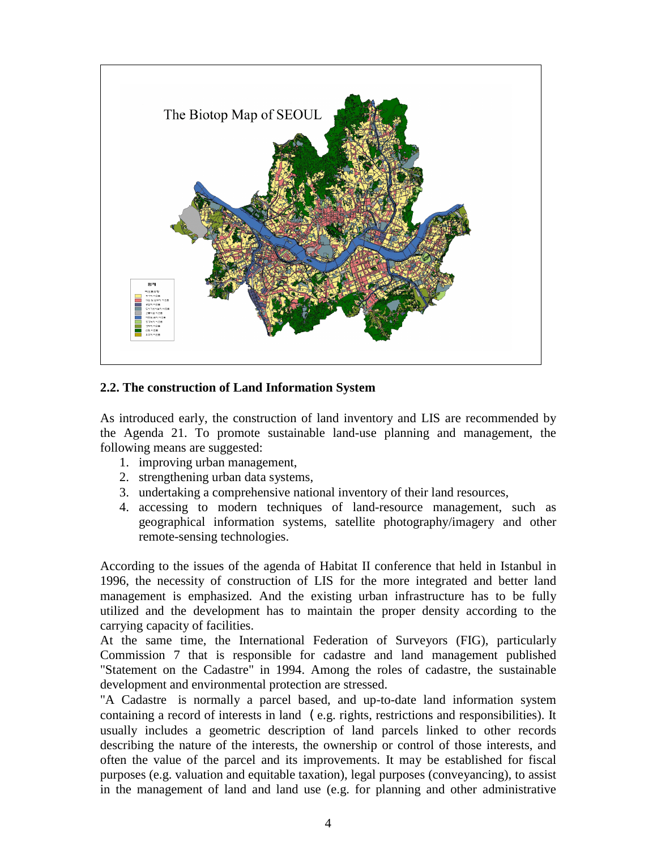

## **2.2. The construction of Land Information System**

As introduced early, the construction of land inventory and LIS are recommended by the Agenda 21. To promote sustainable land-use planning and management, the following means are suggested:

- 1. improving urban management,
- 2. strengthening urban data systems,
- 3. undertaking a comprehensive national inventory of their land resources,
- 4. accessing to modern techniques of land-resource management, such as geographical information systems, satellite photography/imagery and other remote-sensing technologies.

According to the issues of the agenda of Habitat II conference that held in Istanbul in 1996, the necessity of construction of LIS for the more integrated and better land management is emphasized. And the existing urban infrastructure has to be fully utilized and the development has to maintain the proper density according to the carrying capacity of facilities.

At the same time, the International Federation of Surveyors (FIG), particularly Commission 7 that is responsible for cadastre and land management published "Statement on the Cadastre" in 1994. Among the roles of cadastre, the sustainable development and environmental protection are stressed.

"A Cadastre is normally a parcel based, and up-to-date land information system containing a record of interests in land (e.g. rights, restrictions and responsibilities). It usually includes a geometric description of land parcels linked to other records describing the nature of the interests, the ownership or control of those interests, and often the value of the parcel and its improvements. It may be established for fiscal purposes (e.g. valuation and equitable taxation), legal purposes (conveyancing), to assist in the management of land and land use (e.g. for planning and other administrative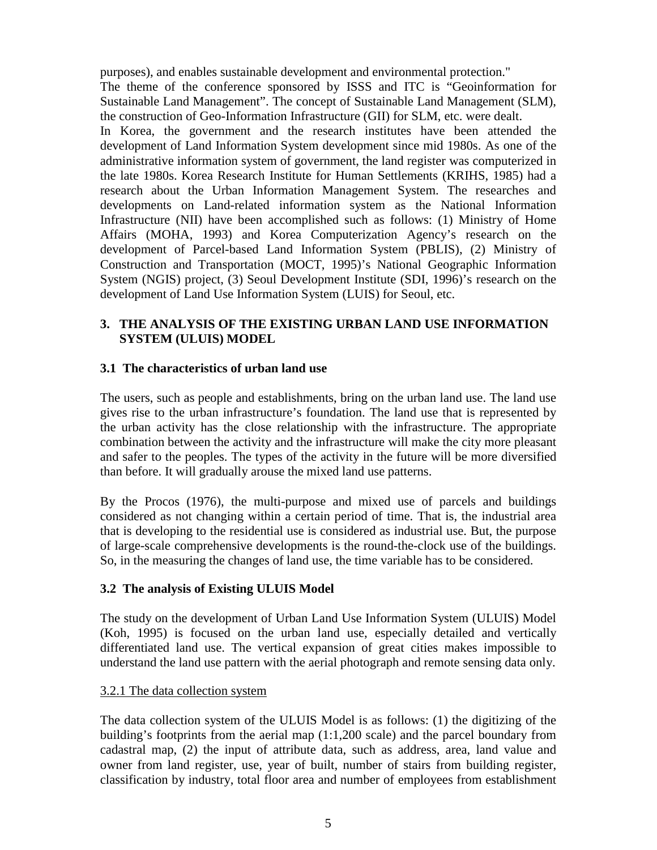purposes), and enables sustainable development and environmental protection."

The theme of the conference sponsored by ISSS and ITC is "Geoinformation for Sustainable Land Management". The concept of Sustainable Land Management (SLM), the construction of Geo-Information Infrastructure (GII) for SLM, etc. were dealt.

In Korea, the government and the research institutes have been attended the development of Land Information System development since mid 1980s. As one of the administrative information system of government, the land register was computerized in the late 1980s. Korea Research Institute for Human Settlements (KRIHS, 1985) had a research about the Urban Information Management System. The researches and developments on Land-related information system as the National Information Infrastructure (NII) have been accomplished such as follows: (1) Ministry of Home Affairs (MOHA, 1993) and Korea Computerization Agency's research on the development of Parcel-based Land Information System (PBLIS), (2) Ministry of Construction and Transportation (MOCT, 1995)'s National Geographic Information System (NGIS) project, (3) Seoul Development Institute (SDI, 1996)'s research on the development of Land Use Information System (LUIS) for Seoul, etc.

## **3. THE ANALYSIS OF THE EXISTING URBAN LAND USE INFORMATION SYSTEM (ULUIS) MODEL**

## **3.1 The characteristics of urban land use**

The users, such as people and establishments, bring on the urban land use. The land use gives rise to the urban infrastructure's foundation. The land use that is represented by the urban activity has the close relationship with the infrastructure. The appropriate combination between the activity and the infrastructure will make the city more pleasant and safer to the peoples. The types of the activity in the future will be more diversified than before. It will gradually arouse the mixed land use patterns.

By the Procos (1976), the multi-purpose and mixed use of parcels and buildings considered as not changing within a certain period of time. That is, the industrial area that is developing to the residential use is considered as industrial use. But, the purpose of large-scale comprehensive developments is the round-the-clock use of the buildings. So, in the measuring the changes of land use, the time variable has to be considered.

## **3.2 The analysis of Existing ULUIS Model**

The study on the development of Urban Land Use Information System (ULUIS) Model (Koh, 1995) is focused on the urban land use, especially detailed and vertically differentiated land use. The vertical expansion of great cities makes impossible to understand the land use pattern with the aerial photograph and remote sensing data only.

## 3.2.1 The data collection system

The data collection system of the ULUIS Model is as follows: (1) the digitizing of the building's footprints from the aerial map (1:1,200 scale) and the parcel boundary from cadastral map, (2) the input of attribute data, such as address, area, land value and owner from land register, use, year of built, number of stairs from building register, classification by industry, total floor area and number of employees from establishment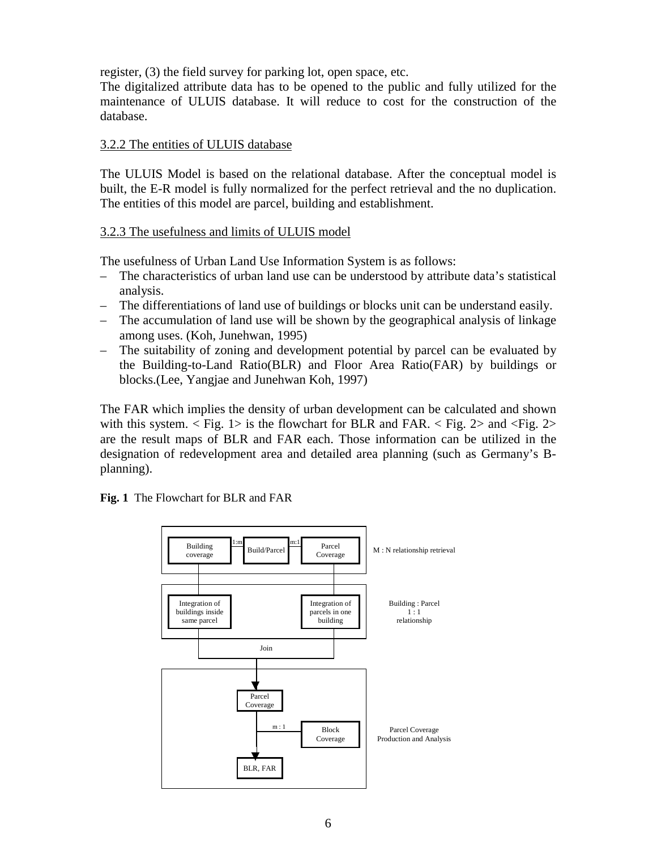register, (3) the field survey for parking lot, open space, etc.

The digitalized attribute data has to be opened to the public and fully utilized for the maintenance of ULUIS database. It will reduce to cost for the construction of the database.

#### 3.2.2 The entities of ULUIS database

The ULUIS Model is based on the relational database. After the conceptual model is built, the E-R model is fully normalized for the perfect retrieval and the no duplication. The entities of this model are parcel, building and establishment.

#### 3.2.3 The usefulness and limits of ULUIS model

The usefulness of Urban Land Use Information System is as follows:

- The characteristics of urban land use can be understood by attribute data's statistical analysis.
- The differentiations of land use of buildings or blocks unit can be understand easily.
- The accumulation of land use will be shown by the geographical analysis of linkage among uses. (Koh, Junehwan, 1995)
- The suitability of zoning and development potential by parcel can be evaluated by the Building-to-Land Ratio(BLR) and Floor Area Ratio(FAR) by buildings or blocks.(Lee, Yangjae and Junehwan Koh, 1997)

The FAR which implies the density of urban development can be calculated and shown with this system.  $\langle$  Fig. 1> is the flowchart for BLR and FAR.  $\langle$  Fig. 2> and  $\langle$  Fig. 2> are the result maps of BLR and FAR each. Those information can be utilized in the designation of redevelopment area and detailed area planning (such as Germany's Bplanning).

**Fig. 1** The Flowchart for BLR and FAR

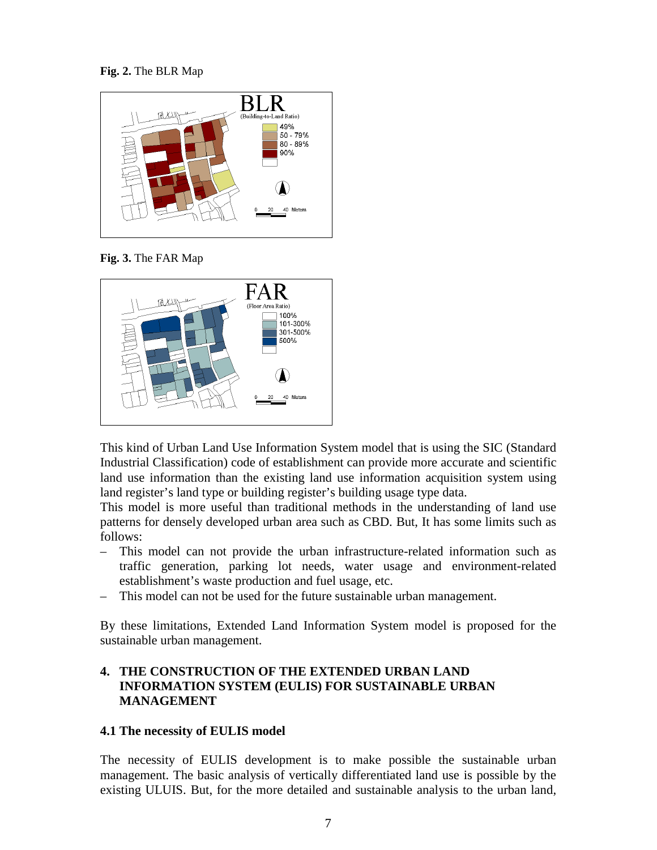**Fig. 2.** The BLR Map



**Fig. 3.** The FAR Map



This kind of Urban Land Use Information System model that is using the SIC (Standard Industrial Classification) code of establishment can provide more accurate and scientific land use information than the existing land use information acquisition system using land register's land type or building register's building usage type data.

This model is more useful than traditional methods in the understanding of land use patterns for densely developed urban area such as CBD. But, It has some limits such as follows:

- This model can not provide the urban infrastructure-related information such as traffic generation, parking lot needs, water usage and environment-related establishment's waste production and fuel usage, etc.
- This model can not be used for the future sustainable urban management.

By these limitations, Extended Land Information System model is proposed for the sustainable urban management.

## **4. THE CONSTRUCTION OF THE EXTENDED URBAN LAND INFORMATION SYSTEM (EULIS) FOR SUSTAINABLE URBAN MANAGEMENT**

#### **4.1 The necessity of EULIS model**

The necessity of EULIS development is to make possible the sustainable urban management. The basic analysis of vertically differentiated land use is possible by the existing ULUIS. But, for the more detailed and sustainable analysis to the urban land,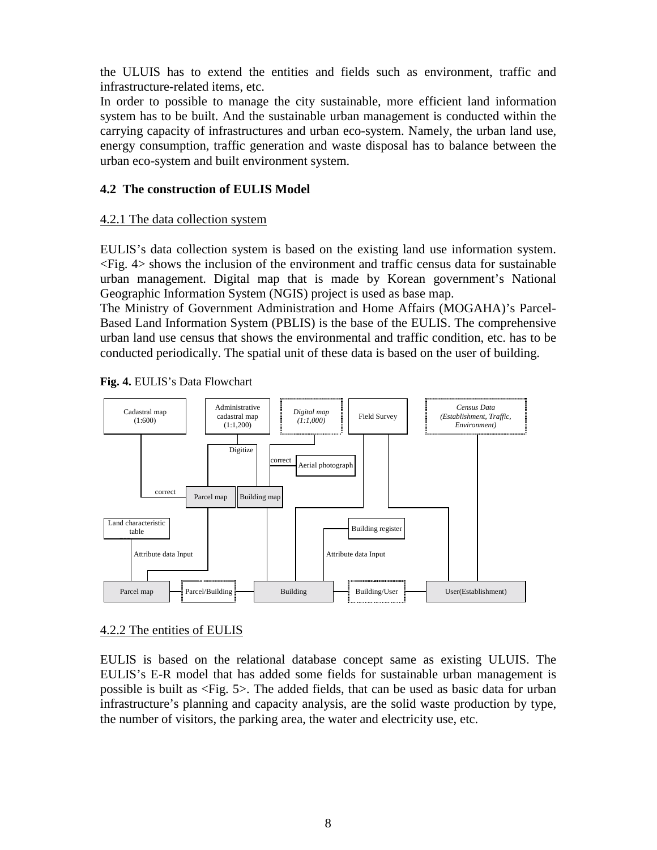the ULUIS has to extend the entities and fields such as environment, traffic and infrastructure-related items, etc.

In order to possible to manage the city sustainable, more efficient land information system has to be built. And the sustainable urban management is conducted within the carrying capacity of infrastructures and urban eco-system. Namely, the urban land use, energy consumption, traffic generation and waste disposal has to balance between the urban eco-system and built environment system.

#### **4.2 The construction of EULIS Model**

#### 4.2.1 The data collection system

EULIS's data collection system is based on the existing land use information system. <Fig. 4> shows the inclusion of the environment and traffic census data for sustainable urban management. Digital map that is made by Korean government's National Geographic Information System (NGIS) project is used as base map.

The Ministry of Government Administration and Home Affairs (MOGAHA)'s Parcel-Based Land Information System (PBLIS) is the base of the EULIS. The comprehensive urban land use census that shows the environmental and traffic condition, etc. has to be conducted periodically. The spatial unit of these data is based on the user of building.



#### **Fig. 4.** EULIS's Data Flowchart

## 4.2.2 The entities of EULIS

EULIS is based on the relational database concept same as existing ULUIS. The EULIS's E-R model that has added some fields for sustainable urban management is possible is built as <Fig. 5>. The added fields, that can be used as basic data for urban infrastructure's planning and capacity analysis, are the solid waste production by type, the number of visitors, the parking area, the water and electricity use, etc.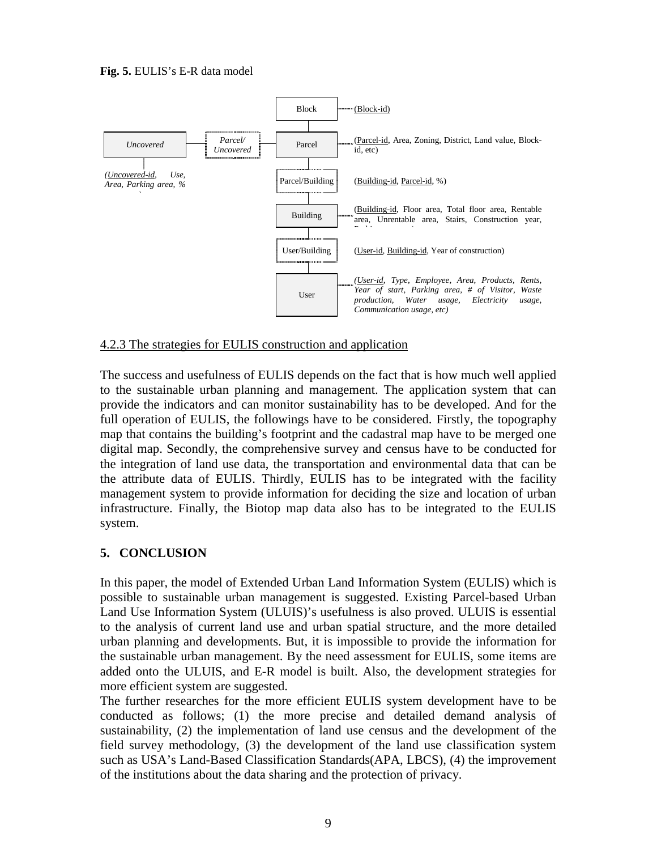#### **Fig. 5.** EULIS's E-R data model



#### 4.2.3 The strategies for EULIS construction and application

The success and usefulness of EULIS depends on the fact that is how much well applied to the sustainable urban planning and management. The application system that can provide the indicators and can monitor sustainability has to be developed. And for the full operation of EULIS, the followings have to be considered. Firstly, the topography map that contains the building's footprint and the cadastral map have to be merged one digital map. Secondly, the comprehensive survey and census have to be conducted for the integration of land use data, the transportation and environmental data that can be the attribute data of EULIS. Thirdly, EULIS has to be integrated with the facility management system to provide information for deciding the size and location of urban infrastructure. Finally, the Biotop map data also has to be integrated to the EULIS system.

#### **5. CONCLUSION**

In this paper, the model of Extended Urban Land Information System (EULIS) which is possible to sustainable urban management is suggested. Existing Parcel-based Urban Land Use Information System (ULUIS)'s usefulness is also proved. ULUIS is essential to the analysis of current land use and urban spatial structure, and the more detailed urban planning and developments. But, it is impossible to provide the information for the sustainable urban management. By the need assessment for EULIS, some items are added onto the ULUIS, and E-R model is built. Also, the development strategies for more efficient system are suggested.

The further researches for the more efficient EULIS system development have to be conducted as follows; (1) the more precise and detailed demand analysis of sustainability, (2) the implementation of land use census and the development of the field survey methodology, (3) the development of the land use classification system such as USA's Land-Based Classification Standards(APA, LBCS), (4) the improvement of the institutions about the data sharing and the protection of privacy.